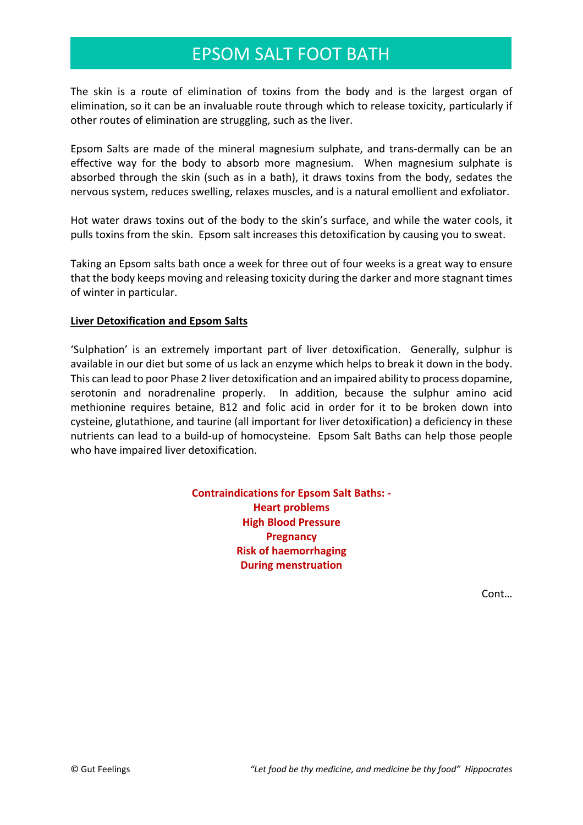## EPSOM SALT FOOT BATH

The skin is a route of elimination of toxins from the body and is the largest organ of elimination, so it can be an invaluable route through which to release toxicity, particularly if other routes of elimination are struggling, such as the liver.

Epsom Salts are made of the mineral magnesium sulphate, and trans-dermally can be an effective way for the body to absorb more magnesium. When magnesium sulphate is absorbed through the skin (such as in a bath), it draws toxins from the body, sedates the nervous system, reduces swelling, relaxes muscles, and is a natural emollient and exfoliator.

Hot water draws toxins out of the body to the skin's surface, and while the water cools, it pulls toxins from the skin. Epsom salt increases this detoxification by causing you to sweat.

Taking an Epsom salts bath once a week for three out of four weeks is a great way to ensure that the body keeps moving and releasing toxicity during the darker and more stagnant times of winter in particular.

## **Liver Detoxification and Epsom Salts**

'Sulphation' is an extremely important part of liver detoxification. Generally, sulphur is available in our diet but some of us lack an enzyme which helps to break it down in the body. This can lead to poor Phase 2 liver detoxification and an impaired ability to process dopamine, serotonin and noradrenaline properly. In addition, because the sulphur amino acid methionine requires betaine, B12 and folic acid in order for it to be broken down into cysteine, glutathione, and taurine (all important for liver detoxification) a deficiency in these nutrients can lead to a build-up of homocysteine. Epsom Salt Baths can help those people who have impaired liver detoxification.

> **Contraindications for Epsom Salt Baths: - Heart problems High Blood Pressure Pregnancy Risk of haemorrhaging During menstruation**

> > Cont…